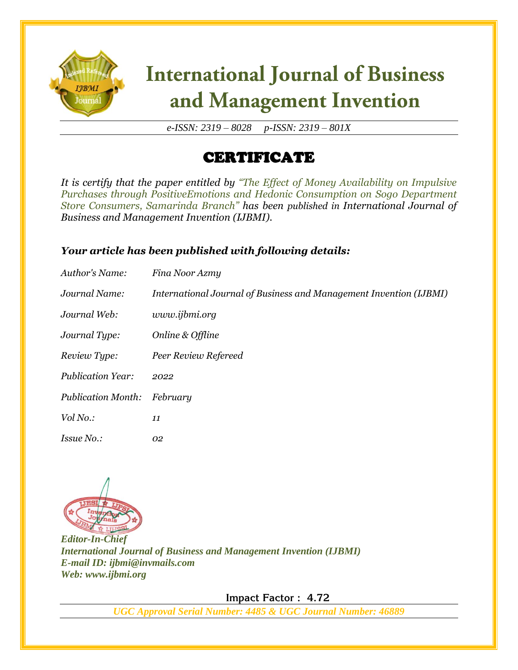

# **International Journal of Business** and Management Invention

*e-ISSN: 2319 – 8028 p-ISSN: 2319 – 801X*

### CERTIFICATE

*It is certify that the paper entitled by "The Effect of Money Availability on Impulsive Purchases through PositiveEmotions and Hedonic Consumption on Sogo Department Store Consumers, Samarinda Branch" has been published in International Journal of Business and Management Invention (IJBMI).*

#### *Your article has been published with following details:*

| Author's Name:            | Fina Noor Azmy                                                     |
|---------------------------|--------------------------------------------------------------------|
| Journal Name:             | International Journal of Business and Management Invention (IJBMI) |
| Journal Web:              | www.ijbmi.org                                                      |
| Journal Type:             | Online & Offline                                                   |
| Review Type:              | Peer Review Refereed                                               |
| <b>Publication Year:</b>  | 2022                                                               |
| <b>Publication Month:</b> | February                                                           |
| Vol No.:                  | 11                                                                 |
| <i>Issue No.:</i>         | 02                                                                 |



*Editor-In-Chief International Journal of Business and Management Invention (IJBMI) E-mail ID: ijbmi@invmails.com Web: www.ijbmi.org*

 **Impact Factor : 4.72** 

*UGC Approval Serial Number: 4485 & UGC Journal Number: 46889*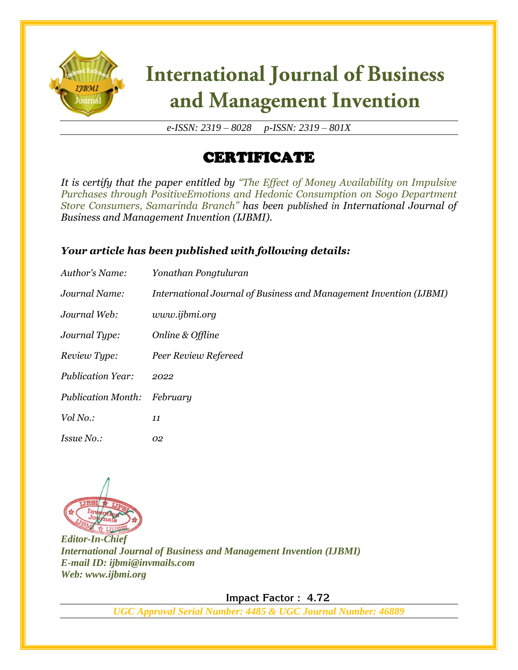

# **International Journal of Business** and Management Invention

*e-ISSN: 2319 – 8028 p-ISSN: 2319 – 801X*

### CERTIFICATE

*It is certify that the paper entitled by "The Effect of Money Availability on Impulsive Purchases through PositiveEmotions and Hedonic Consumption on Sogo Department Store Consumers, Samarinda Branch" has been published in International Journal of Business and Management Invention (IJBMI).*

#### *Your article has been published with following details:*

| Author's Name:            | Yonathan Pongtuluran                                               |
|---------------------------|--------------------------------------------------------------------|
| Journal Name:             | International Journal of Business and Management Invention (IJBMI) |
| Journal Web:              | www.ijbmi.org                                                      |
| Journal Type:             | Online & Offline                                                   |
| Review Type:              | Peer Review Refereed                                               |
| <b>Publication Year:</b>  | 2022                                                               |
| <b>Publication Month:</b> | February                                                           |
| Vol No.:                  | 11                                                                 |
| <i>Issue No.:</i>         | 02                                                                 |



*Editor-In-Chief International Journal of Business and Management Invention (IJBMI) E-mail ID: ijbmi@invmails.com Web: www.ijbmi.org*

 **Impact Factor : 4.72** 

*UGC Approval Serial Number: 4485 & UGC Journal Number: 46889*